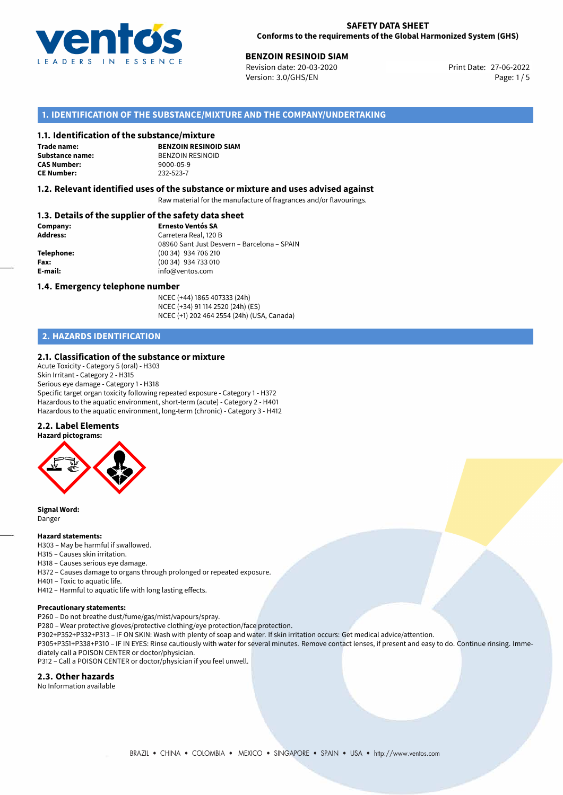

**27-05-2010 BENZOIN RESINOID SIAM** Revision date: 27-06-2022 **Print Date: 27-06-2022** Version: 3.0/GHS/EN Page: 1/5

# **1. IDENTIFICATION OF THE SUBSTANCE/MIXTURE AND THE COMPANY/UNDERTAKING**

#### **1.1. Identification of the substance/mixture**

**Trade name: CAS Number: CE Number:** 232-523-7

**BENZOIN RESINOID SIAM Substance name:** BENZOIN RESINOID<br> **CAS Number:** 9000-05-9

#### **1.2. Relevant identified uses of the substance or mixture and uses advised against**

Raw material for the manufacture of fragrances and/or flavourings.

### **1.3. Details of the supplier of the safety data sheet**

| Company:        | <b>Ernesto Ventós SA</b>                    |
|-----------------|---------------------------------------------|
| <b>Address:</b> | Carretera Real, 120 B                       |
|                 | 08960 Sant Just Desvern – Barcelona – SPAIN |
| Telephone:      | (00 34) 934 706 210                         |
| Fax:            | (00 34) 934 733 010                         |
| E-mail:         | info@ventos.com                             |
|                 |                                             |

#### **1.4. Emergency telephone number**

NCEC (+44) 1865 407333 (24h) NCEC (+34) 91 114 2520 (24h) (ES) NCEC (+1) 202 464 2554 (24h) (USA, Canada)

# **2. HAZARDS IDENTIFICATION**

#### **2.1. Classification of the substance or mixture**

Acute Toxicity - Category 5 (oral) - H303 Skin Irritant - Category 2 - H315 Serious eye damage - Category 1 - H318 Specific target organ toxicity following repeated exposure - Category 1 - H372 Hazardous to the aquatic environment, short-term (acute) - Category 2 - H401 Hazardous to the aquatic environment, long-term (chronic) - Category 3 - H412

#### **2.2. Label Elements**



**Signal Word:** Danger

#### **Hazard statements:**

H303 – May be harmful if swallowed.

- H315 Causes skin irritation.
- H318 Causes serious eye damage.
- H372 Causes damage to organs through prolonged or repeated exposure.
- H401 Toxic to aquatic life.
- H412 Harmful to aquatic life with long lasting effects.

#### **Precautionary statements:**

P260 – Do not breathe dust/fume/gas/mist/vapours/spray.

P280 – Wear protective gloves/protective clothing/eye protection/face protection.

P302+P352+P332+P313 – IF ON SKIN: Wash with plenty of soap and water. If skin irritation occurs: Get medical advice/attention.

P305+P351+P338+P310 – IF IN EYES: Rinse cautiously with water for several minutes. Remove contact lenses, if present and easy to do. Continue rinsing. Immediately call a POISON CENTER or doctor/physician.

P312 – Call a POISON CENTER or doctor/physician if you feel unwell.

# **2.3. Other hazards**

No Information available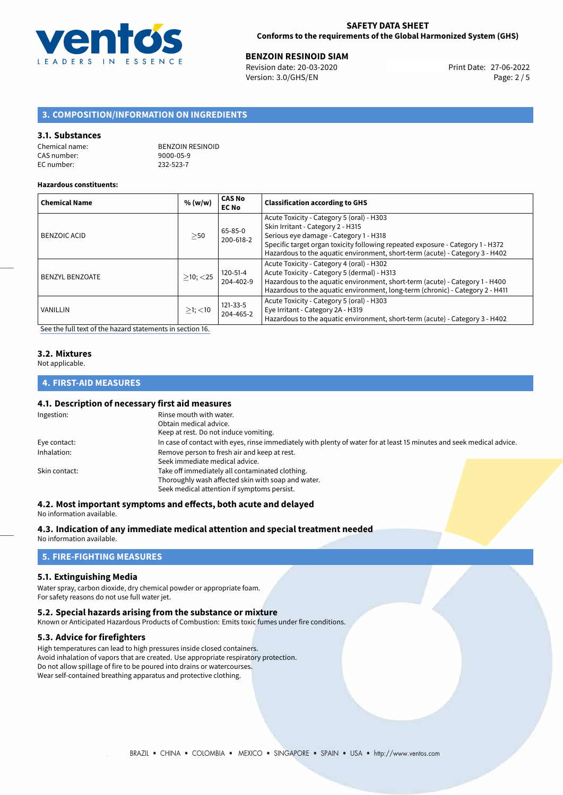

**BENZOIN RESINOID SIAM**<br>
Revision date: 20-03-2020 **Print Date: 27-06-2022** Version: 3.0/GHS/EN Page: 2 / 5

# **3. COMPOSITION/INFORMATION ON INGREDIENTS**

#### **3.1. Substances**

| Chemical name: | <b>BENZOIN RESINOID</b> |
|----------------|-------------------------|
| CAS number:    | 9000-05-9               |
| EC number:     | 232-523-7               |

#### **Hazardous constituents:**

| <b>Chemical Name</b>   | % (w/w)        | <b>CAS No</b><br><b>EC No</b> | <b>Classification according to GHS</b>                                                                                                                                                                                                                                                     |
|------------------------|----------------|-------------------------------|--------------------------------------------------------------------------------------------------------------------------------------------------------------------------------------------------------------------------------------------------------------------------------------------|
| <b>BENZOIC ACID</b>    | >50            | 65-85-0<br>200-618-2          | Acute Toxicity - Category 5 (oral) - H303<br>Skin Irritant - Category 2 - H315<br>Serious eye damage - Category 1 - H318<br>Specific target organ toxicity following repeated exposure - Category 1 - H372<br>Hazardous to the aquatic environment, short-term (acute) - Category 3 - H402 |
| <b>BENZYL BENZOATE</b> | $>10$ ; $<$ 25 | 120-51-4<br>204-402-9         | Acute Toxicity - Category 4 (oral) - H302<br>Acute Toxicity - Category 5 (dermal) - H313<br>Hazardous to the aquatic environment, short-term (acute) - Category 1 - H400<br>Hazardous to the aquatic environment, long-term (chronic) - Category 2 - H411                                  |
| VANILLIN               | $>1$ ; $<$ 10  | 121-33-5<br>204-465-2         | Acute Toxicity - Category 5 (oral) - H303<br>Eye Irritant - Category 2A - H319<br>Hazardous to the aquatic environment, short-term (acute) - Category 3 - H402                                                                                                                             |

[See the full text of the hazard statements in section 16.](#page-4-0)

# **3.2. Mixtures**

Not applicable.

# **4. FIRST-AID MEASURES**

### **4.1. Description of necessary first aid measures**

| Ingestion:                                                  | Rinse mouth with water.                                                                                               |  |
|-------------------------------------------------------------|-----------------------------------------------------------------------------------------------------------------------|--|
|                                                             | Obtain medical advice.                                                                                                |  |
|                                                             | Keep at rest. Do not induce vomiting.                                                                                 |  |
| Eye contact:                                                | In case of contact with eyes, rinse immediately with plenty of water for at least 15 minutes and seek medical advice. |  |
| Remove person to fresh air and keep at rest.<br>Inhalation: |                                                                                                                       |  |
|                                                             | Seek immediate medical advice.                                                                                        |  |
| Skin contact:                                               | Take off immediately all contaminated clothing.                                                                       |  |
|                                                             | Thoroughly wash affected skin with soap and water.                                                                    |  |
|                                                             | Seek medical attention if symptoms persist.                                                                           |  |
|                                                             |                                                                                                                       |  |

# **4.2. Most important symptoms and effects, both acute and delayed**

No information available.

# **4.3. Indication of any immediate medical attention and special treatment needed**

No information available.

# **5. FIRE-FIGHTING MEASURES**

# **5.1. Extinguishing Media**

Water spray, carbon dioxide, dry chemical powder or appropriate foam. For safety reasons do not use full water jet.

#### **5.2. Special hazards arising from the substance or mixture**

Known or Anticipated Hazardous Products of Combustion: Emits toxic fumes under fire conditions.

### **5.3. Advice for firefighters**

High temperatures can lead to high pressures inside closed containers. Avoid inhalation of vapors that are created. Use appropriate respiratory protection. Do not allow spillage of fire to be poured into drains or watercourses. Wear self-contained breathing apparatus and protective clothing.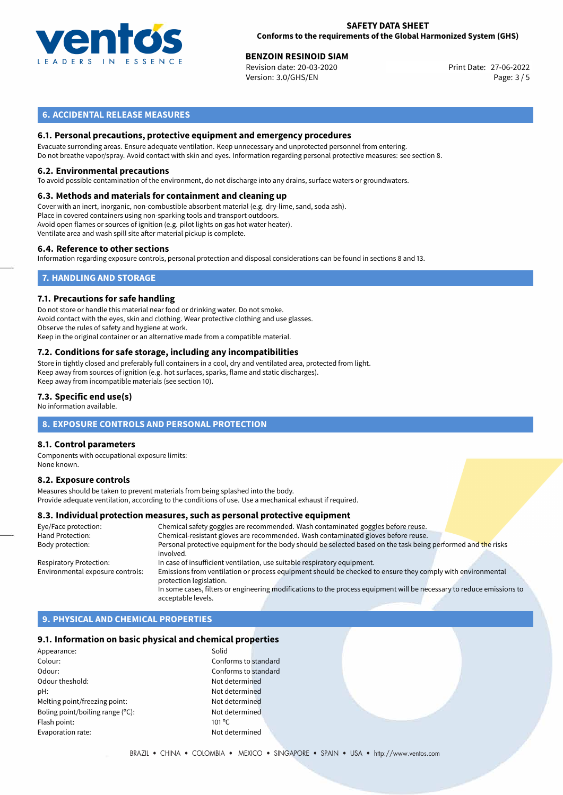

#### **SAFETY DATA SHEET Conforms to the requirements of the Global Harmonized System (GHS)**

**BENZOIN RESINOID SIAM**<br>
Revision date: 20-03-2020 **Print Date: 27-06-2022** Version: 3.0/GHS/EN Page: 3 / 5

# **6. ACCIDENTAL RELEASE MEASURES**

### **6.1. Personal precautions, protective equipment and emergency procedures**

Evacuate surronding areas. Ensure adequate ventilation. Keep unnecessary and unprotected personnel from entering. Do not breathe vapor/spray. Avoid contact with skin and eyes. Information regarding personal protective measures: see section 8.

#### **6.2. Environmental precautions**

To avoid possible contamination of the environment, do not discharge into any drains, surface waters or groundwaters.

#### **6.3. Methods and materials for containment and cleaning up**

Cover with an inert, inorganic, non-combustible absorbent material (e.g. dry-lime, sand, soda ash). Place in covered containers using non-sparking tools and transport outdoors. Avoid open flames or sources of ignition (e.g. pilot lights on gas hot water heater). Ventilate area and wash spill site after material pickup is complete.

#### **6.4. Reference to other sections**

Information regarding exposure controls, personal protection and disposal considerations can be found in sections 8 and 13.

# **7. HANDLING AND STORAGE**

#### **7.1. Precautions for safe handling**

Do not store or handle this material near food or drinking water. Do not smoke. Avoid contact with the eyes, skin and clothing. Wear protective clothing and use glasses. Observe the rules of safety and hygiene at work. Keep in the original container or an alternative made from a compatible material.

# **7.2. Conditions for safe storage, including any incompatibilities**

Store in tightly closed and preferably full containers in a cool, dry and ventilated area, protected from light. Keep away from sources of ignition (e.g. hot surfaces, sparks, flame and static discharges). Keep away from incompatible materials (see section 10).

#### **7.3. Specific end use(s)**

No information available.

### **8. EXPOSURE CONTROLS AND PERSONAL PROTECTION**

#### **8.1. Control parameters**

Components with occupational exposure limits: None known.

#### **8.2. Exposure controls**

Measures should be taken to prevent materials from being splashed into the body. Provide adequate ventilation, according to the conditions of use. Use a mechanical exhaust if required.

#### **8.3. Individual protection measures, such as personal protective equipment**

| Eye/Face protection:             | Chemical safety goggles are recommended. Wash contaminated goggles before reuse.                                                      |
|----------------------------------|---------------------------------------------------------------------------------------------------------------------------------------|
| Hand Protection:                 | Chemical-resistant gloves are recommended. Wash contaminated gloves before reuse.                                                     |
| Body protection:                 | Personal protective equipment for the body should be selected based on the task being performed and the risks<br>involved.            |
| <b>Respiratory Protection:</b>   | In case of insufficient ventilation, use suitable respiratory equipment.                                                              |
| Environmental exposure controls: | Emissions from ventilation or process equipment should be checked to ensure they comply with environmental<br>protection legislation. |
|                                  | In some cases, filters or engineering modifications to the process equipment will be necessary to reduce emissions to                 |
|                                  | acceptable levels.                                                                                                                    |

# **9. PHYSICAL AND CHEMICAL PROPERTIES**

#### **9.1. Information on basic physical and chemical properties**

| Appearance:                      | Solid           |
|----------------------------------|-----------------|
| Colour:                          | Confo           |
| Odour:                           | Confo           |
| Odour theshold:                  | Not d           |
| pH:                              | Not d           |
| Melting point/freezing point:    | Not d           |
| Boling point/boiling range (°C): | Not d           |
| Flash point:                     | $101^{\circ}$ C |
| Evaporation rate:                | Not d           |
|                                  |                 |

Conforms to standard Conforms to standard Not determined Not determined Not determined Not determined Not determined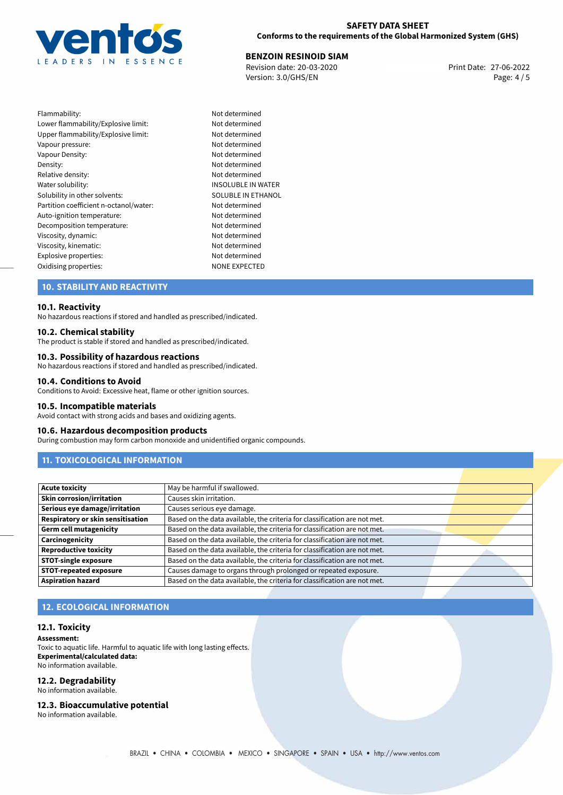

# **SAFETY DATA SHEET Conforms to the requirements of the Global Harmonized System (GHS)**

**BENZOIN RESINOID SIAM**<br>
Revision date: 20-03-2020 **Print Date: 27-06-2022** Version: 3.0/GHS/EN Page: 4 / 5

| Flammability:                          | Not determined        |
|----------------------------------------|-----------------------|
| Lower flammability/Explosive limit:    | Not determined        |
| Upper flammability/Explosive limit:    | Not determined        |
| Vapour pressure:                       | Not determined        |
| Vapour Density:                        | Not determined        |
| Density:                               | Not determined        |
| Relative density:                      | Not determined        |
| Water solubility:                      | <b>INSOLUBLE IN W</b> |
| Solubility in other solvents:          | SOLUBLE IN ETH        |
| Partition coefficient n-octanol/water: | Not determined        |
| Auto-ignition temperature:             | Not determined        |
| Decomposition temperature:             | Not determined        |
| Viscosity, dynamic:                    | Not determined        |
| Viscosity, kinematic:                  | Not determined        |
| Explosive properties:                  | Not determined        |
| Oxidising properties:                  | <b>NONE EXPECTED</b>  |

Not determined Not determined Not determined Not determined Not determined Not determined Not determined **INSOLUBLE IN WATER** SOLUBLE IN ETHANOL Not determined Not determined Not determined Not determined Not determined Not determined

# **10. STABILITY AND REACTIVITY**

#### **10.1. Reactivity**

No hazardous reactions if stored and handled as prescribed/indicated.

#### **10.2. Chemical stability**

The product is stable if stored and handled as prescribed/indicated.

#### **10.3. Possibility of hazardous reactions**

No hazardous reactions if stored and handled as prescribed/indicated.

#### **10.4. Conditions to Avoid**

Conditions to Avoid: Excessive heat, flame or other ignition sources.

#### **10.5. Incompatible materials**

Avoid contact with strong acids and bases and oxidizing agents.

#### **10.6. Hazardous decomposition products**

During combustion may form carbon monoxide and unidentified organic compounds.

# **11. TOXICOLOGICAL INFORMATION**

| <b>Acute toxicity</b>             | May be harmful if swallowed.                                              |  |  |
|-----------------------------------|---------------------------------------------------------------------------|--|--|
| <b>Skin corrosion/irritation</b>  | Causes skin irritation.                                                   |  |  |
| Serious eye damage/irritation     | Causes serious eye damage.                                                |  |  |
| Respiratory or skin sensitisation | Based on the data available, the criteria for classification are not met. |  |  |
| <b>Germ cell mutagenicity</b>     | Based on the data available, the criteria for classification are not met. |  |  |
| Carcinogenicity                   | Based on the data available, the criteria for classification are not met. |  |  |
| <b>Reproductive toxicity</b>      | Based on the data available, the criteria for classification are not met. |  |  |
| <b>STOT-single exposure</b>       | Based on the data available, the criteria for classification are not met. |  |  |
| <b>STOT-repeated exposure</b>     | Causes damage to organs through prolonged or repeated exposure.           |  |  |
| <b>Aspiration hazard</b>          | Based on the data available, the criteria for classification are not met. |  |  |

# **12. ECOLOGICAL INFORMATION**

#### **12.1. Toxicity**

**Assessment:** Toxic to aquatic life. Harmful to aquatic life with long lasting effects. **Experimental/calculated data:** No information available.

#### **12.2. Degradability**

No information available.

**12.3. Bioaccumulative potential**

No information available.